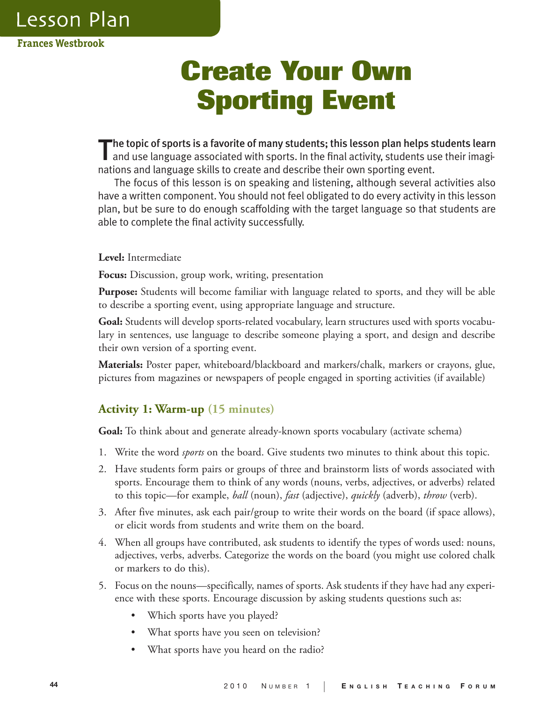**Lesson Plan** 

**Frances Westbrook**

# **Create Your Own Sporting Event**

The topic of sports is a favorite of many students; this lesson plan helps students learn and use language associated with sports. In the final activity, students use their imaginations and language skills to create and describe their own sporting event.

The focus of this lesson is on speaking and listening, although several activities also have a written component. You should not feel obligated to do every activity in this lesson plan, but be sure to do enough scaffolding with the target language so that students are able to complete the final activity successfully.

**Level:** Intermediate

**Focus:** Discussion, group work, writing, presentation

**Purpose:** Students will become familiar with language related to sports, and they will be able to describe a sporting event, using appropriate language and structure.

**Goal:** Students will develop sports-related vocabulary, learn structures used with sports vocabulary in sentences, use language to describe someone playing a sport, and design and describe their own version of a sporting event.

**Materials:** Poster paper, whiteboard/blackboard and markers/chalk, markers or crayons, glue, pictures from magazines or newspapers of people engaged in sporting activities (if available)

# **Activity 1: Warm-up (15 minutes)**

**Goal:** To think about and generate already-known sports vocabulary (activate schema)

- 1. Write the word *sports* on the board. Give students two minutes to think about this topic.
- 2. Have students form pairs or groups of three and brainstorm lists of words associated with sports. Encourage them to think of any words (nouns, verbs, adjectives, or adverbs) related to this topic—for example, *ball* (noun), *fast* (adjective), *quickly* (adverb), *throw* (verb).
- 3. After five minutes, ask each pair/group to write their words on the board (if space allows), or elicit words from students and write them on the board.
- 4. When all groups have contributed, ask students to identify the types of words used: nouns, adjectives, verbs, adverbs. Categorize the words on the board (you might use colored chalk or markers to do this).
- 5. Focus on the nouns—specifically, names of sports. Ask students if they have had any experience with these sports. Encourage discussion by asking students questions such as:
	- Which sports have you played?
	- What sports have you seen on television?
	- What sports have you heard on the radio?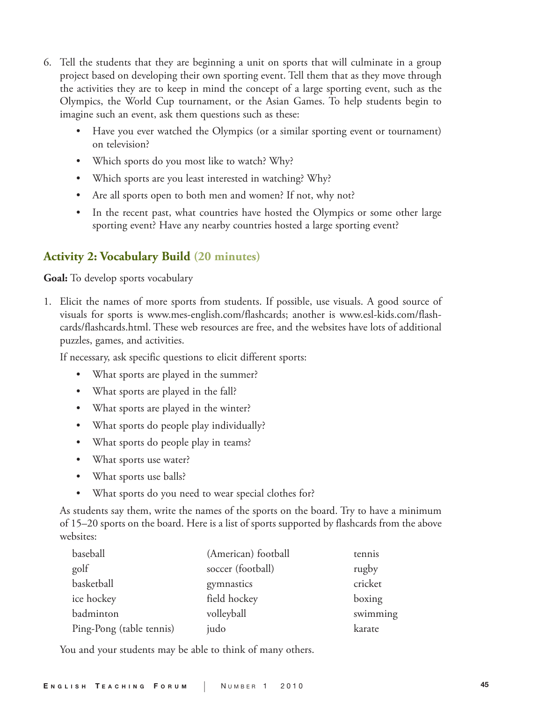- 6. Tell the students that they are beginning a unit on sports that will culminate in a group project based on developing their own sporting event. Tell them that as they move through the activities they are to keep in mind the concept of a large sporting event, such as the Olympics, the World Cup tournament, or the Asian Games. To help students begin to imagine such an event, ask them questions such as these:
	- Have you ever watched the Olympics (or a similar sporting event or tournament) on television?
	- Which sports do you most like to watch? Why?
	- Which sports are you least interested in watching? Why?
	- Are all sports open to both men and women? If not, why not?
	- In the recent past, what countries have hosted the Olympics or some other large sporting event? Have any nearby countries hosted a large sporting event?

### **Activity 2: Vocabulary Build (20 minutes)**

**Goal:** To develop sports vocabulary

1. Elicit the names of more sports from students. If possible, use visuals. A good source of visuals for sports is www.mes-english.com/flashcards; another is www.esl-kids.com/flashcards/flashcards.html. These web resources are free, and the websites have lots of additional puzzles, games, and activities.

If necessary, ask specific questions to elicit different sports:

- What sports are played in the summer?
- What sports are played in the fall?
- What sports are played in the winter?
- What sports do people play individually?
- What sports do people play in teams?
- What sports use water?
- What sports use balls?
- What sports do you need to wear special clothes for?

 As students say them, write the names of the sports on the board. Try to have a minimum of 15–20 sports on the board. Here is a list of sports supported by flashcards from the above websites:

| baseball                 | (American) football | tennis   |
|--------------------------|---------------------|----------|
| golf                     | soccer (football)   | rugby    |
| basketball               | gymnastics          | cricket  |
| ice hockey               | field hockey        | boxing   |
| badminton                | volleyball          | swimming |
| Ping-Pong (table tennis) | judo                | karate   |

You and your students may be able to think of many others.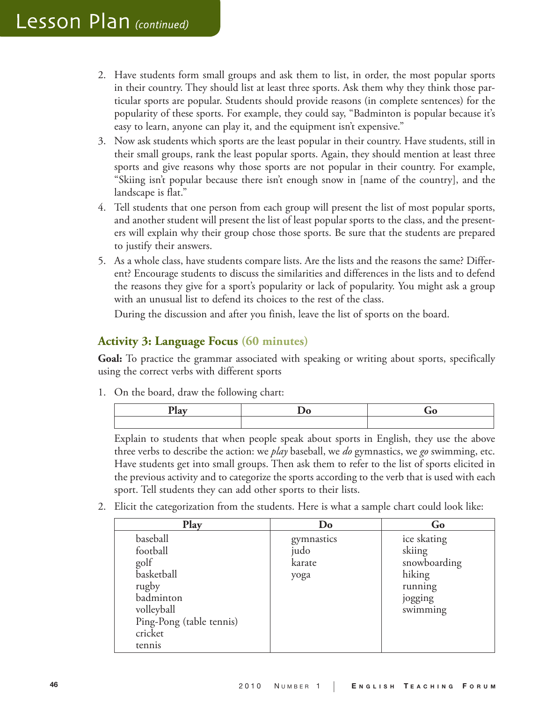- 2. Have students form small groups and ask them to list, in order, the most popular sports in their country. They should list at least three sports. Ask them why they think those particular sports are popular. Students should provide reasons (in complete sentences) for the popularity of these sports. For example, they could say, "Badminton is popular because it's easy to learn, anyone can play it, and the equipment isn't expensive."
- 3. Now ask students which sports are the least popular in their country. Have students, still in their small groups, rank the least popular sports. Again, they should mention at least three sports and give reasons why those sports are not popular in their country. For example, "Skiing isn't popular because there isn't enough snow in [name of the country], and the landscape is flat."
- 4. Tell students that one person from each group will present the list of most popular sports, and another student will present the list of least popular sports to the class, and the presenters will explain why their group chose those sports. Be sure that the students are prepared to justify their answers.
- 5. As a whole class, have students compare lists. Are the lists and the reasons the same? Different? Encourage students to discuss the similarities and differences in the lists and to defend the reasons they give for a sport's popularity or lack of popularity. You might ask a group with an unusual list to defend its choices to the rest of the class.

During the discussion and after you finish, leave the list of sports on the board.

### **Activity 3: Language Focus (60 minutes)**

**Goal:** To practice the grammar associated with speaking or writing about sports, specifically using the correct verbs with different sports

1. On the board, draw the following chart:

Explain to students that when people speak about sports in English, they use the above three verbs to describe the action: we *play* baseball, we *do* gymnastics, we *go* swimming, etc. Have students get into small groups. Then ask them to refer to the list of sports elicited in the previous activity and to categorize the sports according to the verb that is used with each sport. Tell students they can add other sports to their lists.

2. Elicit the categorization from the students. Here is what a sample chart could look like:

| Play                                                                                                                            | Do                                   | Go                                                                                |
|---------------------------------------------------------------------------------------------------------------------------------|--------------------------------------|-----------------------------------------------------------------------------------|
| baseball<br>football<br>golf<br>basketball<br>rugby<br>badminton<br>volleyball<br>Ping-Pong (table tennis)<br>cricket<br>tennis | gymnastics<br>judo<br>karate<br>yoga | ice skating<br>skiing<br>snowboarding<br>hiking<br>running<br>jogging<br>swimming |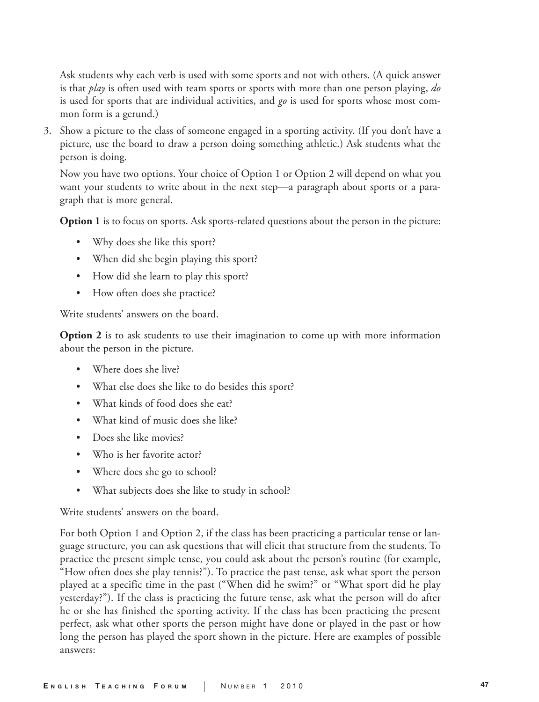Ask students why each verb is used with some sports and not with others. (A quick answer is that *play* is often used with team sports or sports with more than one person playing, *do* is used for sports that are individual activities, and *go* is used for sports whose most common form is a gerund.)

3. Show a picture to the class of someone engaged in a sporting activity. (If you don't have a picture, use the board to draw a person doing something athletic.) Ask students what the person is doing.

Now you have two options. Your choice of Option 1 or Option 2 will depend on what you want your students to write about in the next step—a paragraph about sports or a paragraph that is more general.

**Option 1** is to focus on sports. Ask sports-related questions about the person in the picture:

- Why does she like this sport?
- When did she begin playing this sport?
- How did she learn to play this sport?
- How often does she practice?

Write students' answers on the board.

**Option 2** is to ask students to use their imagination to come up with more information about the person in the picture.

- Where does she live?
- What else does she like to do besides this sport?
- What kinds of food does she eat?
- What kind of music does she like?
- Does she like movies?
- Who is her favorite actor?
- Where does she go to school?
- What subjects does she like to study in school?

Write students' answers on the board.

For both Option 1 and Option 2, if the class has been practicing a particular tense or language structure, you can ask questions that will elicit that structure from the students. To practice the present simple tense, you could ask about the person's routine (for example, "How often does she play tennis?"). To practice the past tense, ask what sport the person played at a specific time in the past ("When did he swim?" or "What sport did he play yesterday?"). If the class is practicing the future tense, ask what the person will do after he or she has finished the sporting activity. If the class has been practicing the present perfect, ask what other sports the person might have done or played in the past or how long the person has played the sport shown in the picture. Here are examples of possible answers: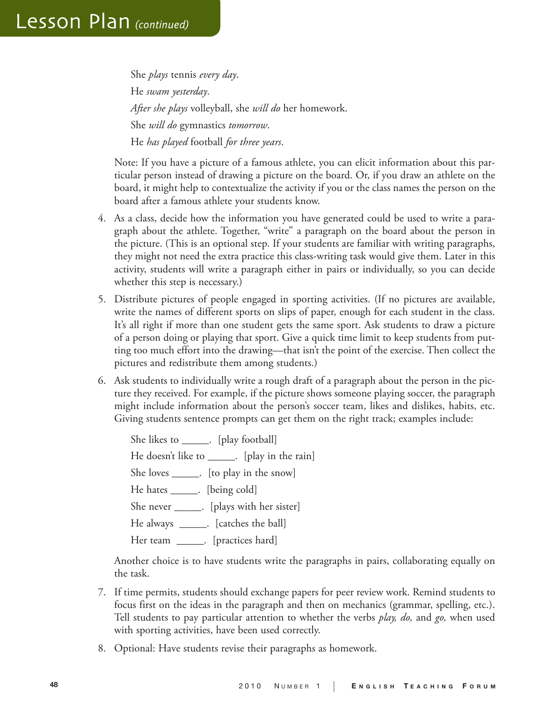She *plays* tennis *every day*. He *swam yesterday*. *After she plays* volleyball, she *will do* her homework. She *will do* gymnastics *tomorrow*. He *has played* football *for three years*.

Note: If you have a picture of a famous athlete, you can elicit information about this particular person instead of drawing a picture on the board. Or, if you draw an athlete on the board, it might help to contextualize the activity if you or the class names the person on the board after a famous athlete your students know.

- 4. As a class, decide how the information you have generated could be used to write a paragraph about the athlete. Together, "write" a paragraph on the board about the person in the picture. (This is an optional step. If your students are familiar with writing paragraphs, they might not need the extra practice this class-writing task would give them. Later in this activity, students will write a paragraph either in pairs or individually, so you can decide whether this step is necessary.)
- 5. Distribute pictures of people engaged in sporting activities. (If no pictures are available, write the names of different sports on slips of paper, enough for each student in the class. It's all right if more than one student gets the same sport. Ask students to draw a picture of a person doing or playing that sport. Give a quick time limit to keep students from putting too much effort into the drawing—that isn't the point of the exercise. Then collect the pictures and redistribute them among students.)
- 6. Ask students to individually write a rough draft of a paragraph about the person in the picture they received. For example, if the picture shows someone playing soccer, the paragraph might include information about the person's soccer team, likes and dislikes, habits, etc. Giving students sentence prompts can get them on the right track; examples include:

She likes to \_\_\_\_\_\_. [play football] He doesn't like to \_\_\_\_\_\_. [play in the rain] She loves \_\_\_\_\_. [to play in the snow] He hates \_\_\_\_\_\_. [being cold] She never \_\_\_\_\_\_. [plays with her sister] He always \_\_\_\_\_. [catches the ball] Her team \_\_\_\_\_\_. [practices hard]

Another choice is to have students write the paragraphs in pairs, collaborating equally on the task.

- 7. If time permits, students should exchange papers for peer review work. Remind students to focus first on the ideas in the paragraph and then on mechanics (grammar, spelling, etc.). Tell students to pay particular attention to whether the verbs *play, do,* and *go,* when used with sporting activities, have been used correctly.
- 8. Optional: Have students revise their paragraphs as homework.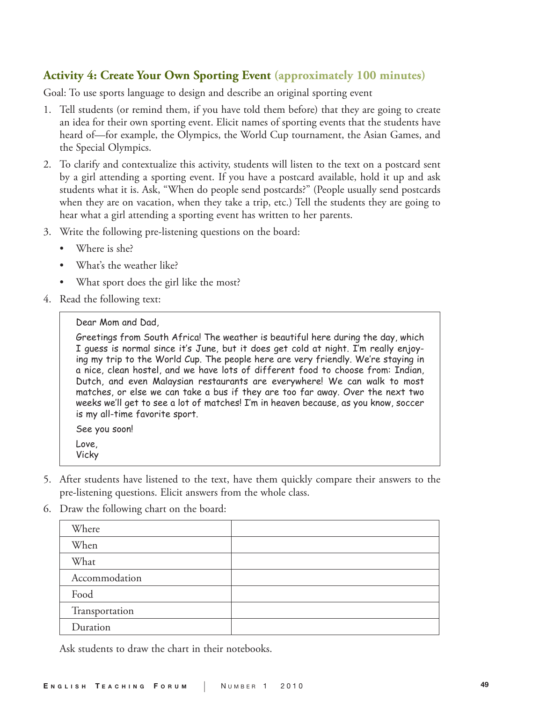# **Activity 4: Create Your Own Sporting Event (approximately 100 minutes)**

Goal: To use sports language to design and describe an original sporting event

- 1. Tell students (or remind them, if you have told them before) that they are going to create an idea for their own sporting event. Elicit names of sporting events that the students have heard of—for example, the Olympics, the World Cup tournament, the Asian Games, and the Special Olympics.
- 2. To clarify and contextualize this activity, students will listen to the text on a postcard sent by a girl attending a sporting event. If you have a postcard available, hold it up and ask students what it is. Ask, "When do people send postcards?" (People usually send postcards when they are on vacation, when they take a trip, etc.) Tell the students they are going to hear what a girl attending a sporting event has written to her parents.
- 3. Write the following pre-listening questions on the board:
	- Where is she?
	- What's the weather like?
	- What sport does the girl like the most?
- 4. Read the following text:

#### Dear Mom and Dad.

Greetings from South Africa! The weather is beautiful here during the day, which I guess is normal since it's June, but it does get cold at night. I'm really enjoying my trip to the World Cup. The people here are very friendly. We're staying in a nice, clean hostel, and we have lots of different food to choose from: Indian, Dutch, and even Malaysian restaurants are everywhere! We can walk to most matches, or else we can take a bus if they are too far away. Over the next two weeks we'll get to see a lot of matches! I'm in heaven because, as you know, soccer is my all-time favorite sport.

See you soon! Love. Vicky

- 5. After students have listened to the text, have them quickly compare their answers to the pre-listening questions. Elicit answers from the whole class.
- 6. Draw the following chart on the board:

| Where          |  |
|----------------|--|
| When           |  |
| What           |  |
| Accommodation  |  |
| Food           |  |
| Transportation |  |
| Duration       |  |
|                |  |

Ask students to draw the chart in their notebooks.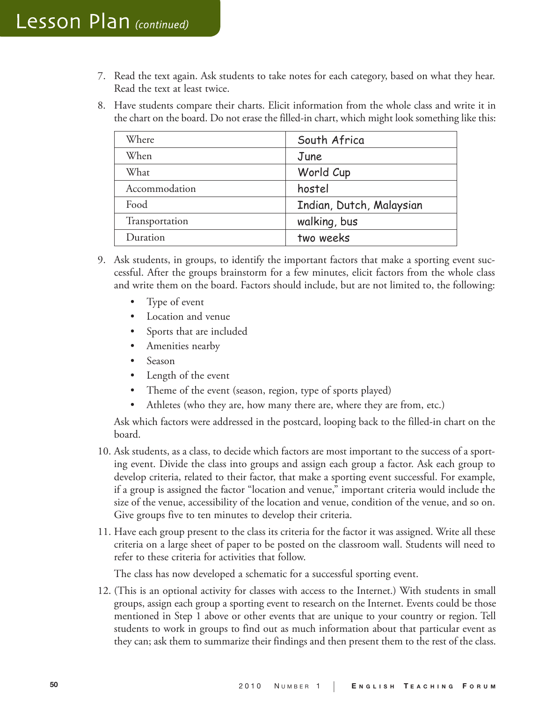- 7. Read the text again. Ask students to take notes for each category, based on what they hear. Read the text at least twice.
- 8. Have students compare their charts. Elicit information from the whole class and write it in the chart on the board. Do not erase the filled-in chart, which might look something like this:

| South Africa             |
|--------------------------|
| June                     |
| World Cup                |
| hostel                   |
| Indian, Dutch, Malaysian |
| walking, bus             |
| two weeks                |
|                          |

- 9. Ask students, in groups, to identify the important factors that make a sporting event successful. After the groups brainstorm for a few minutes, elicit factors from the whole class and write them on the board. Factors should include, but are not limited to, the following:
	- Type of event
	- Location and venue
	- Sports that are included
	- Amenities nearby
	- Season
	- Length of the event
	- Theme of the event (season, region, type of sports played)
	- Athletes (who they are, how many there are, where they are from, etc.)

Ask which factors were addressed in the postcard, looping back to the filled-in chart on the board.

- 10. Ask students, as a class, to decide which factors are most important to the success of a sporting event. Divide the class into groups and assign each group a factor. Ask each group to develop criteria, related to their factor, that make a sporting event successful. For example, if a group is assigned the factor "location and venue," important criteria would include the size of the venue, accessibility of the location and venue, condition of the venue, and so on. Give groups five to ten minutes to develop their criteria.
- 11. Have each group present to the class its criteria for the factor it was assigned. Write all these criteria on a large sheet of paper to be posted on the classroom wall. Students will need to refer to these criteria for activities that follow.

The class has now developed a schematic for a successful sporting event.

12. (This is an optional activity for classes with access to the Internet.) With students in small groups, assign each group a sporting event to research on the Internet. Events could be those mentioned in Step 1 above or other events that are unique to your country or region. Tell students to work in groups to find out as much information about that particular event as they can; ask them to summarize their findings and then present them to the rest of the class.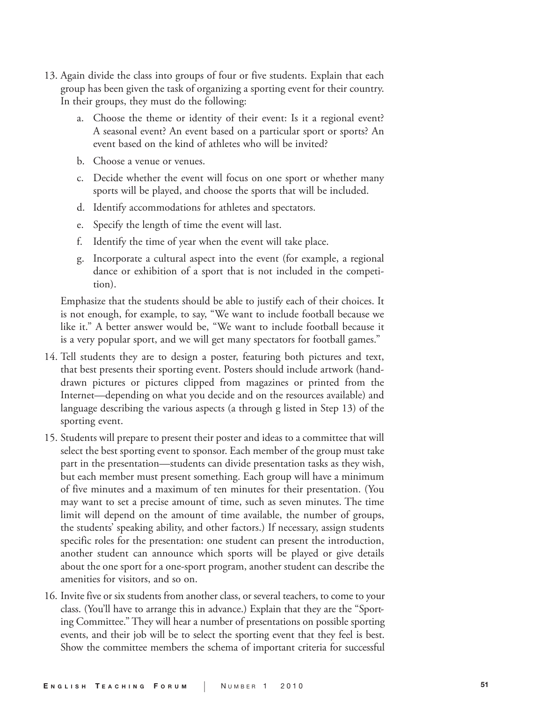- 13. Again divide the class into groups of four or five students. Explain that each group has been given the task of organizing a sporting event for their country. In their groups, they must do the following:
	- a. Choose the theme or identity of their event: Is it a regional event? A seasonal event? An event based on a particular sport or sports? An event based on the kind of athletes who will be invited?
	- b. Choose a venue or venues.
	- c. Decide whether the event will focus on one sport or whether many sports will be played, and choose the sports that will be included.
	- d. Identify accommodations for athletes and spectators.
	- e. Specify the length of time the event will last.
	- f. Identify the time of year when the event will take place.
	- g. Incorporate a cultural aspect into the event (for example, a regional dance or exhibition of a sport that is not included in the competition).

Emphasize that the students should be able to justify each of their choices. It is not enough, for example, to say, "We want to include football because we like it." A better answer would be, "We want to include football because it is a very popular sport, and we will get many spectators for football games."

- 14. Tell students they are to design a poster, featuring both pictures and text, that best presents their sporting event. Posters should include artwork (handdrawn pictures or pictures clipped from magazines or printed from the Internet—depending on what you decide and on the resources available) and language describing the various aspects (a through g listed in Step 13) of the sporting event.
- 15. Students will prepare to present their poster and ideas to a committee that will select the best sporting event to sponsor. Each member of the group must take part in the presentation—students can divide presentation tasks as they wish, but each member must present something. Each group will have a minimum of five minutes and a maximum of ten minutes for their presentation. (You may want to set a precise amount of time, such as seven minutes. The time limit will depend on the amount of time available, the number of groups, the students' speaking ability, and other factors.) If necessary, assign students specific roles for the presentation: one student can present the introduction, another student can announce which sports will be played or give details about the one sport for a one-sport program, another student can describe the amenities for visitors, and so on.
- 16. Invite five or six students from another class, or several teachers, to come to your class. (You'll have to arrange this in advance.) Explain that they are the "Sporting Committee." They will hear a number of presentations on possible sporting events, and their job will be to select the sporting event that they feel is best. Show the committee members the schema of important criteria for successful